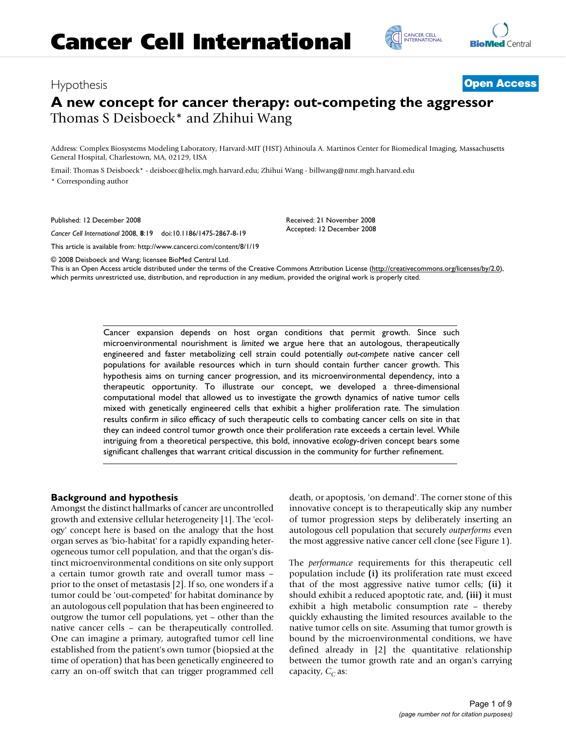

Hypothesis **[Open Access](http://www.biomedcentral.com/info/about/charter/)**

# **A new concept for cancer therapy: out-competing the aggressor** Thomas S Deisboeck\* and Zhihui Wang

Address: Complex Biosystems Modeling Laboratory, Harvard-MIT (HST) Athinoula A. Martinos Center for Biomedical Imaging, Massachusetts General Hospital, Charlestown, MA, 02129, USA

Email: Thomas S Deisboeck\* - deisboec@helix.mgh.harvard.edu; Zhihui Wang - billwang@nmr.mgh.harvard.edu \* Corresponding author

Published: 12 December 2008

*Cancer Cell International* 2008, **8**:19 doi:10.1186/1475-2867-8-19

[This article is available from: http://www.cancerci.com/content/8/1/19](http://www.cancerci.com/content/8/1/19)

Received: 21 November 2008 Accepted: 12 December 2008

© 2008 Deisboeck and Wang; licensee BioMed Central Ltd.

This is an Open Access article distributed under the terms of the Creative Commons Attribution License [\(http://creativecommons.org/licenses/by/2.0\)](http://creativecommons.org/licenses/by/2.0), which permits unrestricted use, distribution, and reproduction in any medium, provided the original work is properly cited.

> Cancer expansion depends on host organ conditions that permit growth. Since such microenvironmental nourishment is *limited* we argue here that an autologous, therapeutically engineered and faster metabolizing cell strain could potentially *out-compete* native cancer cell populations for available resources which in turn should contain further cancer growth. This hypothesis aims on turning cancer progression, and its microenvironmental dependency, into a therapeutic opportunity. To illustrate our concept, we developed a three-dimensional computational model that allowed us to investigate the growth dynamics of native tumor cells mixed with genetically engineered cells that exhibit a higher proliferation rate. The simulation results confirm *in silico* efficacy of such therapeutic cells to combating cancer cells on site in that they can indeed control tumor growth once their proliferation rate exceeds a certain level. While intriguing from a theoretical perspective, this bold, innovative *ecology*-driven concept bears some significant challenges that warrant critical discussion in the community for further refinement.

# **Background and hypothesis**

Amongst the distinct hallmarks of cancer are uncontrolled growth and extensive cellular heterogeneity [1]. The 'ecology' concept here is based on the analogy that the host organ serves as 'bio-habitat' for a rapidly expanding heterogeneous tumor cell population, and that the organ's distinct microenvironmental conditions on site only support a certain tumor growth rate and overall tumor mass – prior to the onset of metastasis [2]. If so, one wonders if a tumor could be 'out-competed' for habitat dominance by an autologous cell population that has been engineered to outgrow the tumor cell populations, yet – other than the native cancer cells – can be therapeutically controlled. One can imagine a primary, autografted tumor cell line established from the patient's own tumor (biopsied at the time of operation) that has been genetically engineered to carry an on-off switch that can trigger programmed cell death, or apoptosis, 'on demand'. The corner stone of this innovative concept is to therapeutically skip any number of tumor progression steps by deliberately inserting an autologous cell population that securely *outperforms* even the most aggressive native cancer cell clone (see Figure 1).

The *performance* requirements for this therapeutic cell population include **(i)** its proliferation rate must exceed that of the most aggressive native tumor cells; **(ii)** it should exhibit a reduced apoptotic rate, and, **(iii)** it must exhibit a high metabolic consumption rate – thereby quickly exhausting the limited resources available to the native tumor cells on site. Assuming that tumor growth is bound by the microenvironmental conditions, we have defined already in [2] the quantitative relationship between the tumor growth rate and an organ's carrying capacity,  $C_C$  as: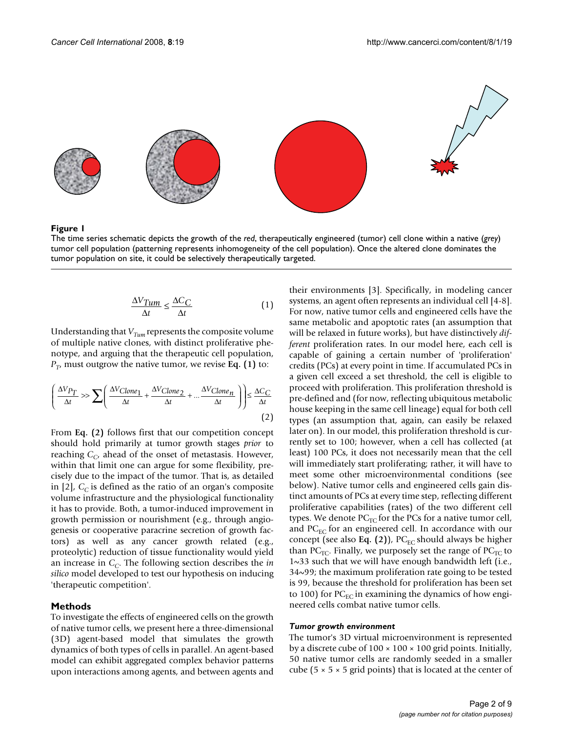

### The time series schematic tumor cell population (patte **Figure 1** depicts the growth of the rning represents inhomogene *red*, therapeutically engineered (tumor ity of the cell population) ) cell clone within a native (*grey*)

The time series schematic depicts the growth of the *red*, therapeutically engineered (tumor) cell clone within a native (*grey*) tumor cell population (patterning represents inhomogeneity of the cell population). Once the altered clone dominates the tumor population on site, it could be selectively therapeutically targeted.

$$
\frac{\Delta V_{Tum}}{\Delta t} \le \frac{\Delta C_C}{\Delta t} \tag{1}
$$

Understanding that  $V_{Tum}$  represents the composite volume of multiple native clones, with distinct proliferative phenotype, and arguing that the therapeutic cell population,  $P_T$ , must outgrow the native tumor, we revise **Eq.** (1) to:

$$
\left(\frac{\Delta V_{PT}}{\Delta t} \gg \sum \left( \frac{\Delta V_{Clone_1}}{\Delta t} + \frac{\Delta V_{Clone_2}}{\Delta t} + \dots \frac{\Delta V_{Clone_n}}{\Delta t} \right) \right) \le \frac{\Delta C_C}{\Delta t}
$$
\n(2)

From Eq. (2) follows first that our competition concept should hold primarily at tumor growth stages *prior* to reaching *C<sub>C</sub>*, ahead of the onset of metastasis. However, within that limit one can argue for some flexibility, precisely due to the impact of the tumor. That is, as detailed in  $[2]$ ,  $C_C$  is defined as the ratio of an organ's composite volume infrastructure and the physiological functionality it has to provide. Both, a tumor-induced improvement in growth permission or nourishment (e.g., through angiogenesis or cooperative paracrine secretion of growth factors) as well as any cancer growth related (e.g., proteolytic) reduction of tissue functionality would yield an increase in *C<sub>C</sub>*. The following section describes the *in silico* model developed to test our hypothesis on inducing 'therapeutic competition'.

### **Methods**

To investigate the effects of engineered cells on the growth of native tumor cells, we present here a three-dimensional (3D) agent-based model that simulates the growth dynamics of both types of cells in parallel. An agent-based model can exhibit aggregated complex behavior patterns upon interactions among agents, and between agents and their environments [3]. Specifically, in modeling cancer systems, an agent often represents an individual cell [\[4-](#page-7-0)8]. For now, native tumor cells and engineered cells have the same metabolic and apoptotic rates (an assumption that will be relaxed in future works), but have distinctively *different* proliferation rates. In our model here, each cell is capable of gaining a certain number of 'proliferation' credits (PCs) at every point in time. If accumulated PCs in a given cell exceed a set threshold, the cell is eligible to proceed with proliferation. This proliferation threshold is pre-defined and (for now, reflecting ubiquitous metabolic house keeping in the same cell lineage) equal for both cell types (an assumption that, again, can easily be relaxed later on). In our model, this proliferation threshold is currently set to 100; however, when a cell has collected (at least) 100 PCs, it does not necessarily mean that the cell will immediately start proliferating; rather, it will have to meet some other microenvironmental conditions (see below). Native tumor cells and engineered cells gain distinct amounts of PCs at every time step, reflecting different proliferative capabilities (rates) of the two different cell types. We denote  $PC_{TC}$  for the PCs for a native tumor cell, and  $PC_{EC}$  for an engineered cell. In accordance with our concept (see also Eq. (2)), PC<sub>EC</sub> should always be higher than PC<sub>TC</sub>. Finally, we purposely set the range of PC<sub>TC</sub> to 1~33 such that we will have enough bandwidth left (i.e., 34~99; the maximum proliferation rate going to be tested is 99, because the threshold for proliferation has been set to 100) for  $PC_{EC}$  in examining the dynamics of how engineered cells combat native tumor cells.

### *Tumor growth environment*

The tumor's 3D virtual microenvironment is represented by a discrete cube of  $100 \times 100 \times 100$  grid points. Initially, 50 native tumor cells are randomly seeded in a smaller cube ( $5 \times 5 \times 5$  grid points) that is located at the center of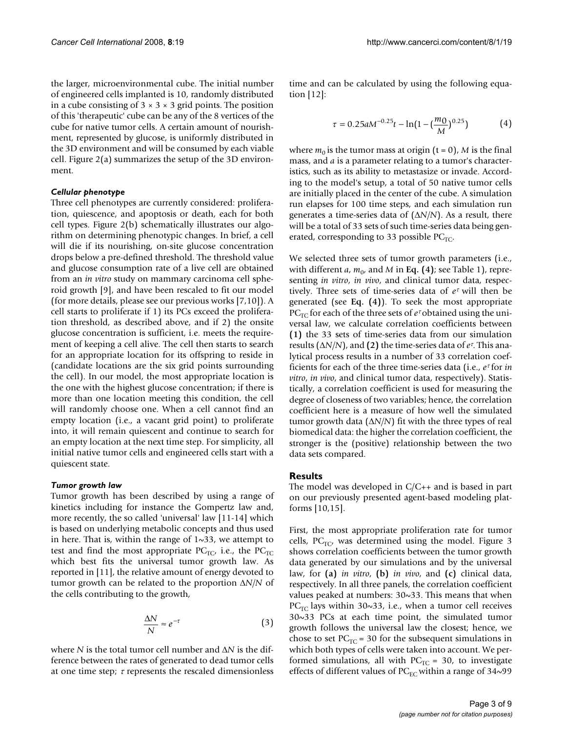the larger, microenvironmental cube. The initial number of engineered cells implanted is 10, randomly distributed in a cube consisting of  $3 \times 3 \times 3$  grid points. The position of this 'therapeutic' cube can be any of the 8 vertices of the cube for native tumor cells. A certain amount of nourishment, represented by glucose, is uniformly distributed in the 3D environment and will be consumed by each viable cell. Figure 2(a) summarizes the setup of the 3D environment.

### *Cellular phenotype*

Three cell phenotypes are currently considered: proliferation, quiescence, and apoptosis or death, each for both cell types. Figure 2(b) schematically illustrates our algorithm on determining phenotypic changes. In brief, a cell will die if its nourishing, on-site glucose concentration drops below a pre-defined threshold. The threshold value and glucose consumption rate of a live cell are obtained from an *in vitro* study on mammary carcinoma cell spheroid growth [9], and have been rescaled to fit our model (for more details, please see our previous works [7,10]). A cell starts to proliferate if 1) its PCs exceed the proliferation threshold, as described above, and if 2) the onsite glucose concentration is sufficient, i.e. meets the requirement of keeping a cell alive. The cell then starts to search for an appropriate location for its offspring to reside in (candidate locations are the six grid points surrounding the cell). In our model, the most appropriate location is the one with the highest glucose concentration; if there is more than one location meeting this condition, the cell will randomly choose one. When a cell cannot find an empty location (i.e., a vacant grid point) to proliferate into, it will remain quiescent and continue to search for an empty location at the next time step. For simplicity, all initial native tumor cells and engineered cells start with a quiescent state.

### *Tumor growth law*

Tumor growth has been described by using a range of kinetics including for instance the Gompertz law and, more recently, the so called 'universal' law [11-14] which is based on underlying metabolic concepts and thus used in here. That is, within the range of  $1 \sim 33$ , we attempt to test and find the most appropriate  $PC_{TC}$ , i.e., the  $PC_{TC}$ which best fits the universal tumor growth law. As reported in [11], the relative amount of energy devoted to tumor growth can be related to the proportion Δ*N/N* of the cells contributing to the growth,

$$
\frac{\Delta N}{N} \approx e^{-\tau} \tag{3}
$$

where *N* is the total tumor cell number and Δ*N* is the difference between the rates of generated to dead tumor cells at one time step;  $\tau$  represents the rescaled dimensionless

time and can be calculated by using the following equation [12]:

$$
\tau = 0.25 a M^{-0.25} t - \ln(1 - \left(\frac{m_0}{M}\right)^{0.25})
$$
 (4)

where  $m_0$  is the tumor mass at origin (t = 0), *M* is the final mass, and *a* is a parameter relating to a tumor's characteristics, such as its ability to metastasize or invade. According to the model's setup, a total of 50 native tumor cells are initially placed in the center of the cube. A simulation run elapses for 100 time steps, and each simulation run generates a time-series data of (Δ*N/N*). As a result, there will be a total of 33 sets of such time-series data being generated, corresponding to 33 possible  $PC_{TC}$ .

We selected three sets of tumor growth parameters (i.e., with different *a*,  $m_0$ , and *M* in Eq. (4); see Table 1), representing *in vitro*, *in vivo*, and clinical tumor data, respectively. Three sets of time-series data of *e*<sup>τ</sup> will then be generated (see **Eq. (4)**). To seek the most appropriate PC<sub>TC</sub> for each of the three sets of  $e^{\tau}$  obtained using the universal law, we calculate correlation coefficients between **(1)** the 33 sets of time-series data from our simulation results (Δ*N/N*), and **(2)** the time-series data of *e*<sup>τ</sup> . This analytical process results in a number of 33 correlation coefficients for each of the three time-series data (i.e., *e*<sup>τ</sup> for *in vitro*, *in vivo*, and clinical tumor data, respectively). Statistically, a correlation coefficient is used for measuring the degree of closeness of two variables; hence, the correlation coefficient here is a measure of how well the simulated tumor growth data (Δ*N/N*) fit with the three types of real biomedical data: the higher the correlation coefficient, the stronger is the (positive) relationship between the two data sets compared.

### **Results**

The model was developed in C/C++ and is based in part on our previously presented agent-based modeling platforms [10,15].

First, the most appropriate proliferation rate for tumor cells,  $PC_{TC}$  was determined using the model. Figure 3 shows correlation coefficients between the tumor growth data generated by our simulations and by the universal law, for **(a)** *in vitro*, **(b)** *in vivo*, and **(c)** clinical data, respectively. In all three panels, the correlation coefficient values peaked at numbers: 30~33. This means that when PC<sub>TC</sub> lays within 30~33, i.e., when a tumor cell receives 30~33 PCs at each time point, the simulated tumor growth follows the universal law the closest; hence, we chose to set  $PC_{TC}$  = 30 for the subsequent simulations in which both types of cells were taken into account. We performed simulations, all with  $PC_{TC} = 30$ , to investigate effects of different values of  $PC_{EC}$  within a range of 34~99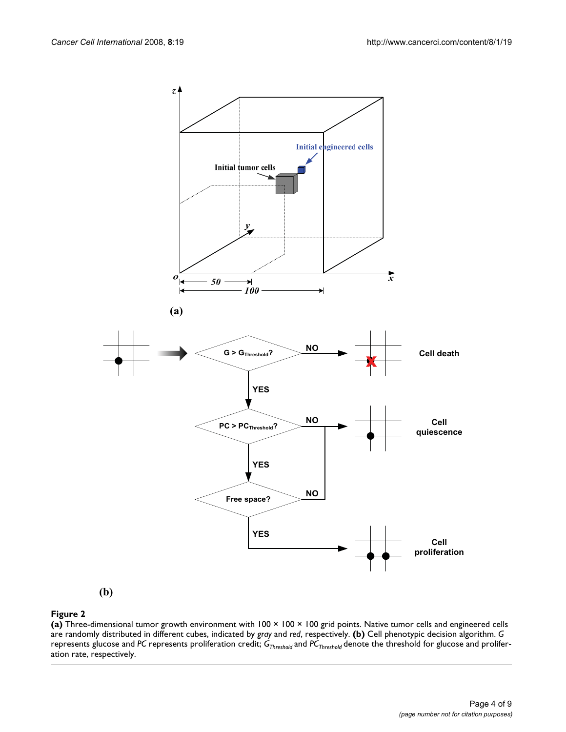

**(a) Figure 2** Three-dimensional tumor growth environment with 100  $\sigma$  100  $\sigma$  100  $\sigma$  100  $\sigma$  100  $\sigma$ **(a)** Three-dimensional tumor growth environment with 100 × 100 × 100 grid points. Native tumor cells and engineered cells are randomly distributed in different cubes, indicated by *gray* and *red*, respectively. **(b)** Cell phenotypic decision algorithm. *G*  represents glucose and *PC* represents proliferation credit; *GThreshold* and *PCThreshold* denote the threshold for glucose and proliferation rate, respectively.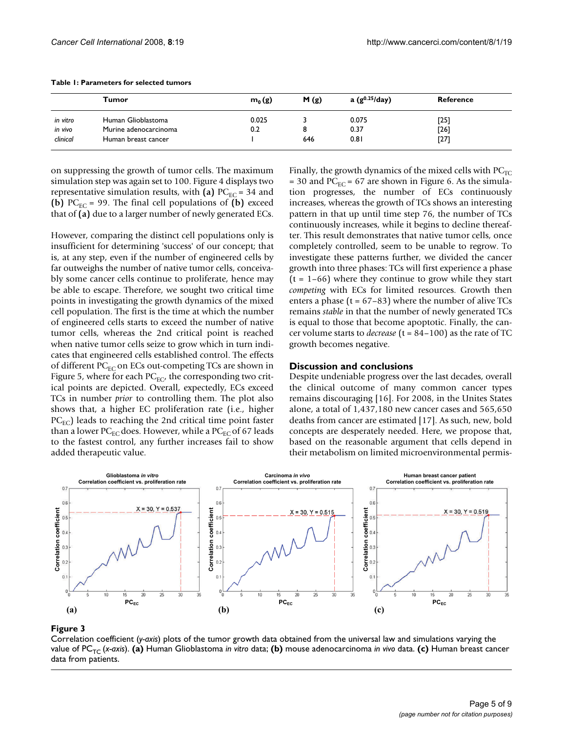|                                 | Tumor                                                              | $m_0(g)$     | M(g) | a (g <sup>0.25</sup> /day) | <b>Reference</b>     |
|---------------------------------|--------------------------------------------------------------------|--------------|------|----------------------------|----------------------|
| in vitro<br>in vivo<br>clinical | Human Glioblastoma<br>Murine adenocarcinoma<br>Human breast cancer | 0.025<br>0.2 | 646  | 0.075<br>0.37<br>0.81      | [25]<br>[26]<br>[27] |

#### **Table 1: Parameters for selected tumors**

on suppressing the growth of tumor cells. The maximum simulation step was again set to 100. Figure 4 displays two representative simulation results, with (a)  $PC_{EC} = 34$  and **(b)**  $PC_{EC}$  = 99. The final cell populations of **(b)** exceed that of **(a)** due to a larger number of newly generated ECs.

However, comparing the distinct cell populations only is insufficient for determining 'success' of our concept; that is, at any step, even if the number of engineered cells by far outweighs the number of native tumor cells, conceivably some cancer cells continue to proliferate, hence may be able to escape. Therefore, we sought two critical time points in investigating the growth dynamics of the mixed cell population. The first is the time at which the number of engineered cells starts to exceed the number of native tumor cells, whereas the 2nd critical point is reached when native tumor cells seize to grow which in turn indicates that engineered cells established control. The effects of different  $PC_{EC}$  on ECs out-competing TCs are shown in Figure 5, where for each  $PC_{EC}$ , the corresponding two critical points are depicted. Overall, expectedly, ECs exceed TCs in number *prior* to controlling them. The plot also shows that, a higher EC proliferation rate (i.e., higher  $PC_{EC}$ ) leads to reaching the 2nd critical time point faster than a lower PC<sub>EC</sub> does. However, while a PC<sub>EC</sub> of 67 leads to the fastest control, any further increases fail to show added therapeutic value.

Finally, the growth dynamics of the mixed cells with  $PC_{TC}$ = 30 and  $PC_{EC}$  = 67 are shown in Figure 6. As the simulation progresses, the number of ECs continuously increases, whereas the growth of TCs shows an interesting pattern in that up until time step 76, the number of TCs continuously increases, while it begins to decline thereafter. This result demonstrates that native tumor cells, once completely controlled, seem to be unable to regrow. To investigate these patterns further, we divided the cancer growth into three phases: TCs will first experience a phase  $(t = 1-66)$  where they continue to grow while they start *competing* with ECs for limited resources. Growth then enters a phase  $(t = 67-83)$  where the number of alive TCs remains *stable* in that the number of newly generated TCs is equal to those that become apoptotic. Finally, the cancer volume starts to *decrease* (t = 84–100) as the rate of TC growth becomes negative.

### **Discussion and conclusions**

Despite undeniable progress over the last decades, overall the clinical outcome of many common cancer types remains discouraging [16]. For 2008, in the Unites States alone, a total of 1,437,180 new cancer cases and 565,650 deaths from cancer are estimated [17]. As such, new, bold concepts are desperately needed. Here, we propose that, based on the reasonable argument that cells depend in their metabolism on limited microenvironmental permis-



value of PC Correlation coefficient (*y-axis*) plots of the tumor growth data obtained from the universal law and simulations varying the TC **Figure 3** (*x-axis*) Correlation coefficient (*y-axis*) plots of the tumor growth data obtained from the universal law and simulations varying the value of PC<sub>TC</sub> (x-axis). (a) Human Glioblastoma *in vitro* data; (b) mouse adenocarcinoma *in vivo* data. (c) Human breast cancer data from patients.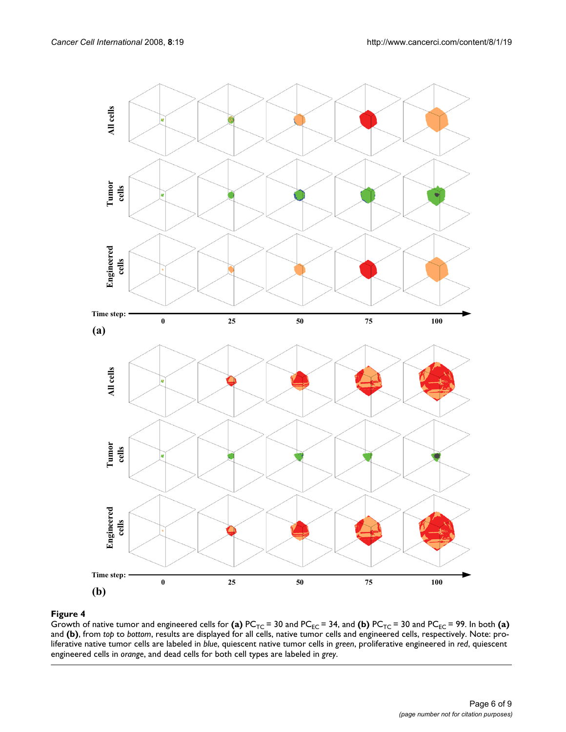

**Figure 4** Growth of native tumor and engineered cells for **(a)** PCTC = 30 and PCEC = 34, and **(b)** PCTC = 30 and PCEC = 99 Growth of native tumor and engineered cells for **(a)**  $PC_{TC}$  = 30 and  $PC_{EC}$  = 34, and **(b)**  $PC_{TC}$  = 30 and  $PC_{EC}$  = 99. In both **(a)** and **(b)**, from *top* to *bottom*, results are displayed for all cells, native tumor cells and engineered cells, respectively. Note: proliferative native tumor cells are labeled in *blue*, quiescent native tumor cells in *green*, proliferative engineered in *red*, quiescent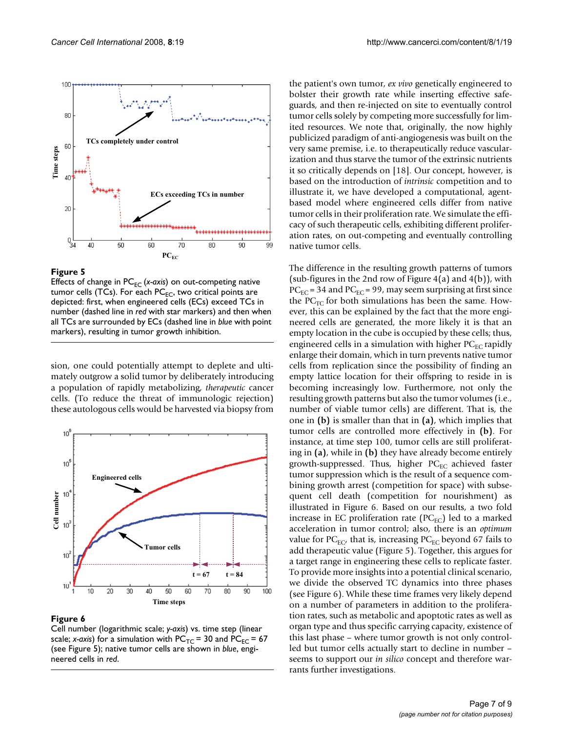

# Effects of change in PCEC tumor cells (TCs) **Figure 5** (*x-axis*) on out-competing native

Effects of change in PC<sub>EC</sub> (*x-axis*) on out-competing native tumor cells (TCs). For each  $PC_{EC}$ , two critical points are depicted: first, when engineered cells (ECs) exceed TCs in number (dashed line in *red* with star markers) and then when all TCs are surrounded by ECs (dashed line in *blue* with point markers), resulting in tumor growth inhibition.

sion, one could potentially attempt to deplete and ultimately outgrow a solid tumor by deliberately introducing a population of rapidly metabolizing, *therapeutic* cancer cells. (To reduce the threat of immunologic rejection) these autologous cells would be harvested via biopsy from



# Figure 6 and 2012 and 2012 and 2012 and 2012 and 2012 and 2012 and 2012 and 2012 and 2012 and 2012 and

Cell number (logarithmic scale; *y-axis*) vs. time step (linear scale; *x*-axis) for a simulation with  $PC_{TC} = 30$  and  $PC_{EC} = 67$ (see Figure 5); native tumor cells are shown in *blue*, engineered cells in *red*.

the patient's own tumor, *ex vivo* genetically engineered to bolster their growth rate while inserting effective safeguards, and then re-injected on site to eventually control tumor cells solely by competing more successfully for limited resources. We note that, originally, the now highly publicized paradigm of anti-angiogenesis was built on the very same premise, i.e. to therapeutically reduce vascularization and thus starve the tumor of the extrinsic nutrients it so critically depends on [18]. Our concept, however, is based on the introduction of *intrinsic* competition and to illustrate it, we have developed a computational, agentbased model where engineered cells differ from native tumor cells in their proliferation rate. We simulate the efficacy of such therapeutic cells, exhibiting different proliferation rates, on out-competing and eventually controlling native tumor cells.

The difference in the resulting growth patterns of tumors (sub-figures in the 2nd row of Figure  $4(a)$  and  $4(b)$ ), with  $PC_{\text{EC}}$  = 34 and  $PC_{\text{EC}}$  = 99, may seem surprising at first since the  $PC_{TC}$  for both simulations has been the same. However, this can be explained by the fact that the more engineered cells are generated, the more likely it is that an empty location in the cube is occupied by these cells; thus, engineered cells in a simulation with higher  $PC_{EC}$  rapidly enlarge their domain, which in turn prevents native tumor cells from replication since the possibility of finding an empty lattice location for their offspring to reside in is becoming increasingly low. Furthermore, not only the resulting growth patterns but also the tumor volumes (i.e., number of viable tumor cells) are different. That is, the one in **(b)** is smaller than that in **(a)**, which implies that tumor cells are controlled more effectively in **(b)**. For instance, at time step 100, tumor cells are still proliferating in **(a)**, while in **(b)** they have already become entirely growth-suppressed. Thus, higher  $PC_{EC}$  achieved faster tumor suppression which is the result of a sequence combining growth arrest (competition for space) with subsequent cell death (competition for nourishment) as illustrated in Figure 6. Based on our results, a two fold increase in EC proliferation rate ( $PC_{EC}$ ) led to a marked acceleration in tumor control; also, there is an *optimum* value for  $PC_{EC}$ , that is, increasing  $PC_{EC}$  beyond 67 fails to add therapeutic value (Figure 5). Together, this argues for a target range in engineering these cells to replicate faster. To provide more insights into a potential clinical scenario, we divide the observed TC dynamics into three phases (see Figure 6). While these time frames very likely depend on a number of parameters in addition to the proliferation rates, such as metabolic and apoptotic rates as well as organ type and thus specific carrying capacity, existence of this last phase – where tumor growth is not only controlled but tumor cells actually start to decline in number – seems to support our *in silico* concept and therefore warrants further investigations.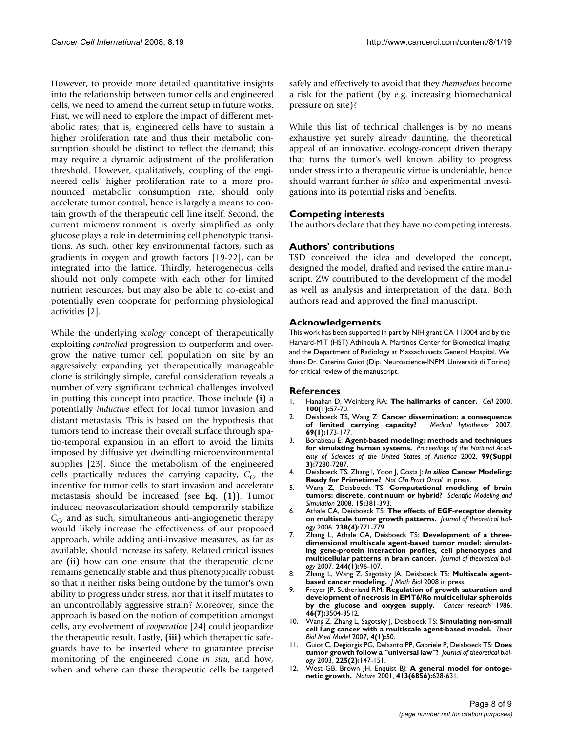However, to provide more detailed quantitative insights into the relationship between tumor cells and engineered cells, we need to amend the current setup in future works. First, we will need to explore the impact of different metabolic rates; that is, engineered cells have to sustain a higher proliferation rate and thus their metabolic consumption should be distinct to reflect the demand; this may require a dynamic adjustment of the proliferation threshold. However, qualitatively, coupling of the engineered cells' higher proliferation rate to a more pronounced metabolic consumption rate, should only accelerate tumor control, hence is largely a means to contain growth of the therapeutic cell line itself. Second, the current microenvironment is overly simplified as only glucose plays a role in determining cell phenotypic transitions. As such, other key environmental factors, such as gradients in oxygen and growth factors [19-22], can be integrated into the lattice. Thirdly, heterogeneous cells should not only compete with each other for limited nutrient resources, but may also be able to co-exist and potentially even cooperate for performing physiological activities [2].

While the underlying *ecology* concept of therapeutically exploiting *controlled* progression to outperform and overgrow the native tumor cell population on site by an aggressively expanding yet therapeutically manageable clone is strikingly simple, careful consideration reveals a number of very significant technical challenges involved in putting this concept into practice. Those include **(i)** a potentially *inductive* effect for local tumor invasion and distant metastasis. This is based on the hypothesis that tumors tend to increase their overall surface through spatio-temporal expansion in an effort to avoid the limits imposed by diffusive yet dwindling microenvironmental supplies [23]. Since the metabolism of the engineered cells practically reduces the carrying capacity,  $C_{C}$  the incentive for tumor cells to start invasion and accelerate metastasis should be increased (see **Eq. (1)**). Tumor induced neovascularization should temporarily stabilize  $C_{C}$  and as such, simultaneous anti-angiogenetic therapy would likely increase the effectiveness of our proposed approach, while adding anti-invasive measures, as far as available, should increase its safety. Related critical issues are **(ii)** how can one ensure that the therapeutic clone remains genetically stable and thus phenotypically robust so that it neither risks being outdone by the tumor's own ability to progress under stress, nor that it itself mutates to an uncontrollably aggressive strain? Moreover, since the approach is based on the notion of competition amongst cells, any evolvement of *cooperation* [24] could jeopardize the therapeutic result. Lastly, **(iii)** which therapeutic safeguards have to be inserted where to guarantee precise monitoring of the engineered clone *in situ*, and how, when and where can these therapeutic cells be targeted safely and effectively to avoid that they *themselves* become a risk for the patient (by e.g. increasing biomechanical pressure on site)?

While this list of technical challenges is by no means exhaustive yet surely already daunting, the theoretical appeal of an innovative, ecology-concept driven therapy that turns the tumor's well known ability to progress under stress into a therapeutic virtue is undeniable, hence should warrant further *in silico* and experimental investigations into its potential risks and benefits.

# **Competing interests**

The authors declare that they have no competing interests.

# **Authors' contributions**

TSD conceived the idea and developed the concept, designed the model, drafted and revised the entire manuscript. ZW contributed to the development of the model as well as analysis and interpretation of the data. Both authors read and approved the final manuscript.

# **Acknowledgements**

This work has been supported in part by NIH grant CA 113004 and by the Harvard-MIT (HST) Athinoula A. Martinos Center for Biomedical Imaging and the Department of Radiology at Massachusetts General Hospital. We thank Dr. Caterina Guiot (Dip. Neuroscience-INFM, Università di Torino) for critical review of the manuscript.

### **References**

- 1. Hanahan D, Weinberg RA: **[The hallmarks of cancer.](http://www.ncbi.nlm.nih.gov/entrez/query.fcgi?cmd=Retrieve&db=PubMed&dopt=Abstract&list_uids=10647931)** *Cell* 2000, **100(1):**57-70.
- 2. Deisboeck TS, Wang Z: **[Cancer dissemination: a consequence](http://www.ncbi.nlm.nih.gov/entrez/query.fcgi?cmd=Retrieve&db=PubMed&dopt=Abstract&list_uids=17196762)**<br>of limited carrying capacity? Medical hypotheses 2007, [of limited carrying capacity?](http://www.ncbi.nlm.nih.gov/entrez/query.fcgi?cmd=Retrieve&db=PubMed&dopt=Abstract&list_uids=17196762) **69(1):**173-177.
- 3. Bonabeau E: **[Agent-based modeling: methods and techniques](http://www.ncbi.nlm.nih.gov/entrez/query.fcgi?cmd=Retrieve&db=PubMed&dopt=Abstract&list_uids=12011407) [for simulating human systems.](http://www.ncbi.nlm.nih.gov/entrez/query.fcgi?cmd=Retrieve&db=PubMed&dopt=Abstract&list_uids=12011407)** *Proceedings of the National Academy of Sciences of the United States of America* 2002, **99(Suppl 3):**7280-7287.
- <span id="page-7-0"></span>4. Deisboeck TS, Zhang l, Yoon J, Costa J: *In silico* **[Cancer Modeling:](http://www.ncbi.nlm.nih.gov/entrez/query.fcgi?cmd=Retrieve&db=PubMed&dopt=Abstract&list_uids=18852721) [Ready for Primetime?](http://www.ncbi.nlm.nih.gov/entrez/query.fcgi?cmd=Retrieve&db=PubMed&dopt=Abstract&list_uids=18852721)** *Nat Clin Pract Oncol* in press.
- 5. Wang Z, Deisboeck TS: **Computational modeling of brain tumors: discrete, continuum or hybrid?** *Scientific Modeling and Simulation* 2008, **15:**381-393.
- 6. Athale CA, Deisboeck TS: **[The effects of EGF-receptor density](http://www.ncbi.nlm.nih.gov/entrez/query.fcgi?cmd=Retrieve&db=PubMed&dopt=Abstract&list_uids=16126230) [on multiscale tumor growth patterns.](http://www.ncbi.nlm.nih.gov/entrez/query.fcgi?cmd=Retrieve&db=PubMed&dopt=Abstract&list_uids=16126230)** *Journal of theoretical biology* 2006, **238(4):**771-779.
- 7. Zhang L, Athale CA, Deisboeck TS: **[Development of a three](http://www.ncbi.nlm.nih.gov/entrez/query.fcgi?cmd=Retrieve&db=PubMed&dopt=Abstract&list_uids=16949103)[dimensional multiscale agent-based tumor model: simulat](http://www.ncbi.nlm.nih.gov/entrez/query.fcgi?cmd=Retrieve&db=PubMed&dopt=Abstract&list_uids=16949103)ing gene-protein interaction profiles, cell phenotypes and [multicellular patterns in brain cancer.](http://www.ncbi.nlm.nih.gov/entrez/query.fcgi?cmd=Retrieve&db=PubMed&dopt=Abstract&list_uids=16949103)** *Journal of theoretical biology* 2007, **244(1):**96-107.
- 8. Zhang L, Wang Z, Sagotsky JA, Deisboeck TS: **Multiscale agentbased cancer modeling.** *J Math Biol* 2008 in press.
- 9. Freyer JP, Sutherland RM: **[Regulation of growth saturation and](http://www.ncbi.nlm.nih.gov/entrez/query.fcgi?cmd=Retrieve&db=PubMed&dopt=Abstract&list_uids=3708582) [development of necrosis in EMT6/Ro multicellular spheroids](http://www.ncbi.nlm.nih.gov/entrez/query.fcgi?cmd=Retrieve&db=PubMed&dopt=Abstract&list_uids=3708582) [by the glucose and oxygen supply.](http://www.ncbi.nlm.nih.gov/entrez/query.fcgi?cmd=Retrieve&db=PubMed&dopt=Abstract&list_uids=3708582)** *Cancer research* 1986, **46(7):**3504-3512.
- 10. Wang Z, Zhang L, Sagotsky J, Deisboeck TS: **[Simulating non-small](http://www.ncbi.nlm.nih.gov/entrez/query.fcgi?cmd=Retrieve&db=PubMed&dopt=Abstract&list_uids=18154660) [cell lung cancer with a multiscale agent-based model.](http://www.ncbi.nlm.nih.gov/entrez/query.fcgi?cmd=Retrieve&db=PubMed&dopt=Abstract&list_uids=18154660)** *Theor Biol Med Model* 2007, **4(1):**50.
- 11. Guiot C, Degiorgis PG, Delsanto PP, Gabriele P, Deisboeck TS: **[Does](http://www.ncbi.nlm.nih.gov/entrez/query.fcgi?cmd=Retrieve&db=PubMed&dopt=Abstract&list_uids=14575649) [tumor growth follow a "universal law"?](http://www.ncbi.nlm.nih.gov/entrez/query.fcgi?cmd=Retrieve&db=PubMed&dopt=Abstract&list_uids=14575649)** *Journal of theoretical biology* 2003, **225(2):**147-151.
- 12. West GB, Brown JH, Enquist BJ: **[A general model for ontoge](http://www.ncbi.nlm.nih.gov/entrez/query.fcgi?cmd=Retrieve&db=PubMed&dopt=Abstract&list_uids=11675785)[netic growth.](http://www.ncbi.nlm.nih.gov/entrez/query.fcgi?cmd=Retrieve&db=PubMed&dopt=Abstract&list_uids=11675785)** *Nature* 2001, **413(6856):**628-631.